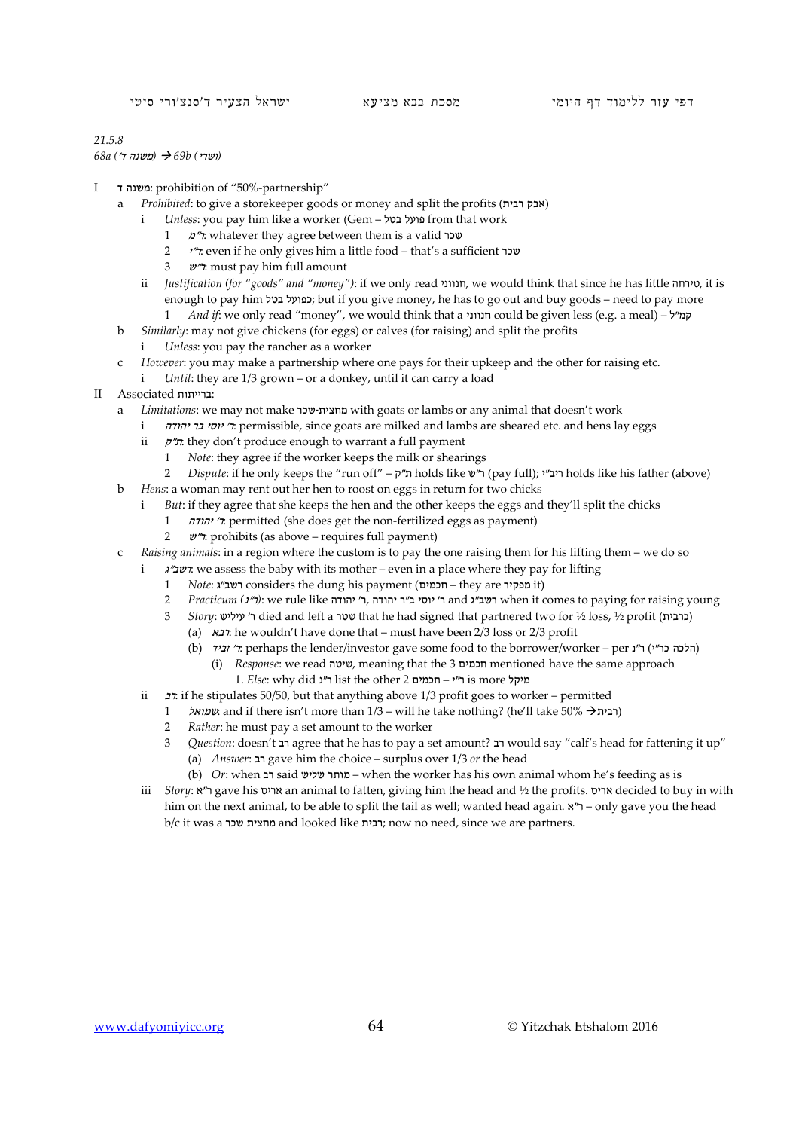## *21.5.8*

*(*ושרי*) b69 )* משנה ד'*) a68*

- I ד משנה: prohibition of "50%-partnership"
	- a *Prohibited*: to give a storekeeper goods or money and split the profits (אבק רבית
		- i *Unless*: you pay him like a worker (Gem בטל פועל from that work
			- 1 <sup>מ</sup>"ר: whatever they agree between them is a valid שכר
			- 2 <sup>י</sup>"ר: even if he only gives him a little food that's a sufficient שכר
			- 3 <sup>ש</sup>"ר: must pay him full amount
		- ii *Justification (for "goods" and "money")*: if we only read חנווני, we would think that since he has little טירחה, it is enough to pay him בפועל בטל; but if you give money, he has to go out and buy goods – need to pay more
			- 1 *And if*: we only read "money", we would think that a חנווני could be given less (e.g. a meal) ל"קמ
	- b *Similarly*: may not give chickens (for eggs) or calves (for raising) and split the profits
		- *Unless*: you pay the rancher as a worker
	- c *However*: you may make a partnership where one pays for their upkeep and the other for raising etc.
		- i *Until*: they are 1/3 grown or a donkey, until it can carry a load
- II Associated ברייתות:
	- a *Limitations*: we may not make שכר-מחצית with goats or lambs or any animal that doesn't work
		- i *ייסי בר יהודה* permissible, since goats are milked and lambs are sheared etc. and hens lay eggs
		- ii  $\pi$  they don't produce enough to warrant a full payment
			- 1 *Note*: they agree if the worker keeps the milk or shearings<br>2 *Dispute*: if he only keeps the "run off"  $\vec{v}$ " holds like  $\vec{w}$ "
	- 2 *Dispute*: if he only keeps the "run off" ק"ת holds like ש"ר) pay full); י"ריב holds like his father (above) b *Hens*: a woman may rent out her hen to roost on eggs in return for two chicks
		- i *But*: if they agree that she keeps the hen and the other keeps the eggs and they'll split the chicks
			- 1 יהודה' ר: permitted (she does get the non-fertilized eggs as payment)
			- 2  $v''$ : prohibits (as above requires full payment)
	- c *Raising animals*: in a region where the custom is to pay the one raising them for his lifting them we do so
		- i <sup>ג</sup>"רשב: we assess the baby with its mother even in a place where they pay for lifting
			- 1 *Note*: גמפקיר considers the dung his payment (חכמים they are ושב"ג
			- 2 *Practicum (*נ"ר*(*: we rule like יהודה' ר, יהודה ר"ב יוסי' ר and ג"רשב when it comes to paying for raising young
			- 3 *Story*: כרבית tied and left a סטר that he had signed that partnered two for ½ loss, ½ profit (כרבית)
				- (a) רבא: he wouldn't have done that must have been 2/3 loss or 2/3 profit
				- (b) זביד י: perhaps the lender/investor gave some food to the borrower/worker per ל'זביד) ו־C הלכה כר"י)
					- (i) *Response*: we read שיטה, meaning that the 3 חכמים mentioned have the same approach 1. *Else*: why did נ"ר list the other 2 חכמים – י"ר is more מיקל
		- ii  $\pi$ : if he stipulates 50/50, but that anything above 1/3 profit goes to worker permitted
			- 1 שמואל: and if there isn't more than  $1/3$  will he take nothing? (he'll take 50% רבית ( $1/3$
			- 2 *Rather*: he must pay a set amount to the worker
			- 3 *Question*: doesn't רב agree that he has to pay a set amount? רב would say "calf's head for fattening it up"
				- (a) *Answer*: רב gave him the choice surplus over 1/3 *or* the head
				- (b) *Or*: when רב said שליש מותר when the worker has his own animal whom he's feeding as is
		- iii *Story*: א"ר gave his אריס an animal to fatten, giving him the head and ½ the profits. אריס decided to buy in with him on the next animal, to be able to split the tail as well; wanted head again.  $\mathbf{X}^n$  – only gave you the head b/c it was a שכר מחצית and looked like רבית ;now no need, since we are partners.